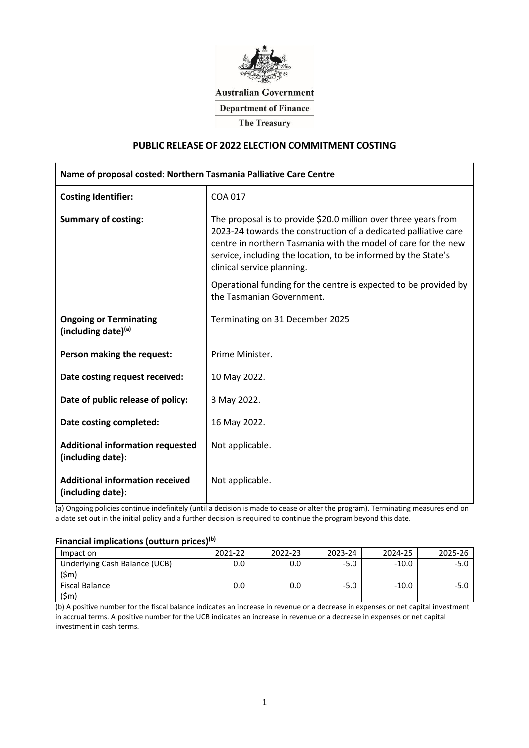

# **Australian Government**

**Department of Finance** 

**The Treasury** 

## **PUBLIC RELEASE OF 2022 ELECTION COMMITMENT COSTING**

| Name of proposal costed: Northern Tasmania Palliative Care Centre |                                                                                                                                                                                                                                                                                                      |  |  |  |  |
|-------------------------------------------------------------------|------------------------------------------------------------------------------------------------------------------------------------------------------------------------------------------------------------------------------------------------------------------------------------------------------|--|--|--|--|
| <b>Costing Identifier:</b>                                        | COA 017                                                                                                                                                                                                                                                                                              |  |  |  |  |
| <b>Summary of costing:</b>                                        | The proposal is to provide \$20.0 million over three years from<br>2023-24 towards the construction of a dedicated palliative care<br>centre in northern Tasmania with the model of care for the new<br>service, including the location, to be informed by the State's<br>clinical service planning. |  |  |  |  |
|                                                                   | Operational funding for the centre is expected to be provided by<br>the Tasmanian Government.                                                                                                                                                                                                        |  |  |  |  |
| <b>Ongoing or Terminating</b><br>(including date)(a)              | Terminating on 31 December 2025                                                                                                                                                                                                                                                                      |  |  |  |  |
| Person making the request:                                        | Prime Minister.                                                                                                                                                                                                                                                                                      |  |  |  |  |
| Date costing request received:                                    | 10 May 2022.                                                                                                                                                                                                                                                                                         |  |  |  |  |
| Date of public release of policy:                                 | 3 May 2022.                                                                                                                                                                                                                                                                                          |  |  |  |  |
| Date costing completed:                                           | 16 May 2022.                                                                                                                                                                                                                                                                                         |  |  |  |  |
| <b>Additional information requested</b><br>(including date):      | Not applicable.                                                                                                                                                                                                                                                                                      |  |  |  |  |
| <b>Additional information received</b><br>(including date):       | Not applicable.                                                                                                                                                                                                                                                                                      |  |  |  |  |

(a) Ongoing policies continue indefinitely (until a decision is made to cease or alter the program). Terminating measures end on a date set out in the initial policy and a further decision is required to continue the program beyond this date.

## **Financial implications (outturn prices)(b)**

| Impact on                     |  |  |  |
|-------------------------------|--|--|--|
| Underlying Cash Balance (UCB) |  |  |  |
| Fiscal Balance                |  |  |  |

(b) A positive number for the fiscal balance indicates an increase in revenue or a decrease in expenses or net capital investment in accrual terms. A positive number for the UCB indicates an increase in revenue or a decrease in expenses or net capital investment in cash terms.